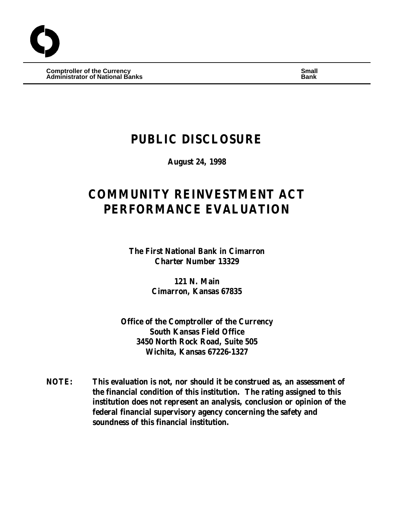**Comptroller of the Currency Small Administrator of National Banks Bank**

## **PUBLIC DISCLOSURE**

**August 24, 1998**

# **COMMUNITY REINVESTMENT ACT PERFORMANCE EVALUATION**

**The First National Bank in Cimarron Charter Number 13329**

> **121 N. Main Cimarron, Kansas 67835**

**Office of the Comptroller of the Currency South Kansas Field Office 3450 North Rock Road, Suite 505 Wichita, Kansas 67226-1327**

**NOTE: This evaluation is not, nor should it be construed as, an assessment of the financial condition of this institution. The rating assigned to this institution does not represent an analysis, conclusion or opinion of the federal financial supervisory agency concerning the safety and soundness of this financial institution.**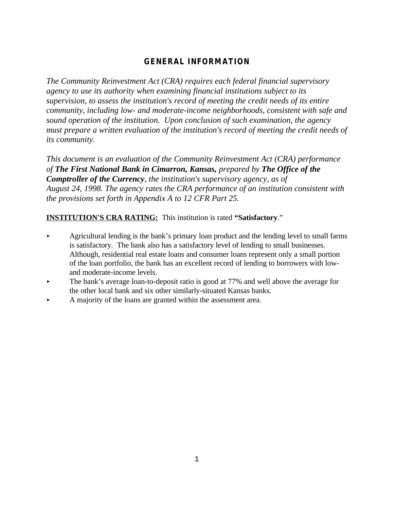## **GENERAL INFORMATION**

*The Community Reinvestment Act (CRA) requires each federal financial supervisory agency to use its authority when examining financial institutions subject to its supervision, to assess the institution's record of meeting the credit needs of its entire community, including low- and moderate-income neighborhoods, consistent with safe and sound operation of the institution. Upon conclusion of such examination, the agency must prepare a written evaluation of the institution's record of meeting the credit needs of its community.* 

*This document is an evaluation of the Community Reinvestment Act (CRA) performance of The First National Bank in Cimarron, Kansas, prepared by The Office of the Comptroller of the Currency, the institution's supervisory agency, as of August 24, 1998. The agency rates the CRA performance of an institution consistent with the provisions set forth in Appendix A to 12 CFR Part 25.*

## **INSTITUTION'S CRA RATING:** This institution is rated **"Satisfactory**."

- < Agricultural lending is the bank's primary loan product and the lending level to small farms is satisfactory. The bank also has a satisfactory level of lending to small businesses. Although, residential real estate loans and consumer loans represent only a small portion of the loan portfolio, the bank has an excellent record of lending to borrowers with lowand moderate-income levels.
- The bank's average loan-to-deposit ratio is good at 77% and well above the average for the other local bank and six other similarly-situated Kansas banks.
- < A majority of the loans are granted within the assessment area.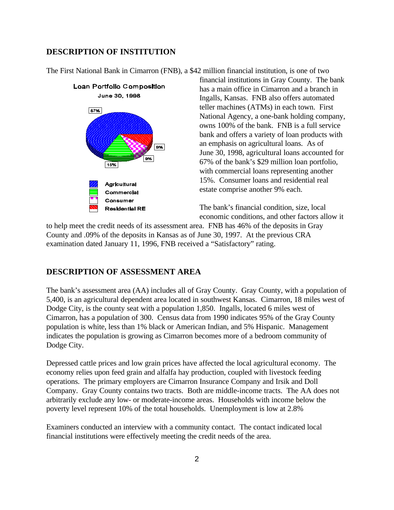## **DESCRIPTION OF INSTITUTION**

The First National Bank in Cimarron (FNB), a \$42 million financial institution, is one of two



financial institutions in Gray County. The bank has a main office in Cimarron and a branch in Ingalls, Kansas. FNB also offers automated teller machines (ATMs) in each town. First National Agency, a one-bank holding company, owns 100% of the bank. FNB is a full service bank and offers a variety of loan products with an emphasis on agricultural loans. As of June 30, 1998, agricultural loans accounted for 67% of the bank's \$29 million loan portfolio, with commercial loans representing another 15%. Consumer loans and residential real estate comprise another 9% each.

The bank's financial condition, size, local economic conditions, and other factors allow it

to help meet the credit needs of its assessment area. FNB has 46% of the deposits in Gray County and .09% of the deposits in Kansas as of June 30, 1997. At the previous CRA examination dated January 11, 1996, FNB received a "Satisfactory" rating.

## **DESCRIPTION OF ASSESSMENT AREA**

The bank's assessment area (AA) includes all of Gray County. Gray County, with a population of 5,400, is an agricultural dependent area located in southwest Kansas. Cimarron, 18 miles west of Dodge City, is the county seat with a population 1,850. Ingalls, located 6 miles west of Cimarron, has a population of 300. Census data from 1990 indicates 95% of the Gray County population is white, less than 1% black or American Indian, and 5% Hispanic. Management indicates the population is growing as Cimarron becomes more of a bedroom community of Dodge City.

Depressed cattle prices and low grain prices have affected the local agricultural economy. The economy relies upon feed grain and alfalfa hay production, coupled with livestock feeding operations. The primary employers are Cimarron Insurance Company and Irsik and Doll Company. Gray County contains two tracts. Both are middle-income tracts. The AA does not arbitrarily exclude any low- or moderate-income areas. Households with income below the poverty level represent 10% of the total households. Unemployment is low at 2.8%

Examiners conducted an interview with a community contact. The contact indicated local financial institutions were effectively meeting the credit needs of the area.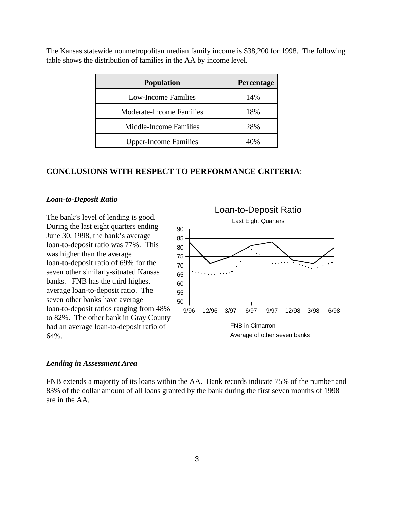The Kansas statewide nonmetropolitan median family income is \$38,200 for 1998. The following table shows the distribution of families in the AA by income level.

| <b>Population</b>            | Percentage |
|------------------------------|------------|
| <b>Low-Income Families</b>   | 14%        |
| Moderate-Income Families     | 18%        |
| Middle-Income Families       | 28%        |
| <b>Upper-Income Families</b> |            |

## **CONCLUSIONS WITH RESPECT TO PERFORMANCE CRITERIA**:

#### *Loan-to-Deposit Ratio*

The bank's level of lending is good. During the last eight quarters ending June 30, 1998, the bank's average loan-to-deposit ratio was 77%. This was higher than the average loan-to-deposit ratio of 69% for the seven other similarly-situated Kansas banks. FNB has the third highest average loan-to-deposit ratio. The seven other banks have average loan-to-deposit ratios ranging from 48% to 82%. The other bank in Gray County had an average loan-to-deposit ratio of 64%.



#### *Lending in Assessment Area*

FNB extends a majority of its loans within the AA. Bank records indicate 75% of the number and 83% of the dollar amount of all loans granted by the bank during the first seven months of 1998 are in the AA.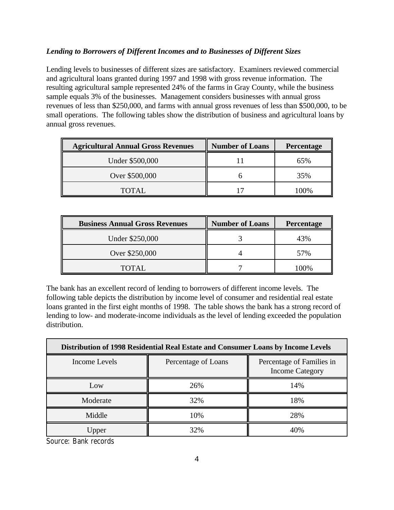## *Lending to Borrowers of Different Incomes and to Businesses of Different Sizes*

Lending levels to businesses of different sizes are satisfactory. Examiners reviewed commercial and agricultural loans granted during 1997 and 1998 with gross revenue information. The resulting agricultural sample represented 24% of the farms in Gray County, while the business sample equals 3% of the businesses. Management considers businesses with annual gross revenues of less than \$250,000, and farms with annual gross revenues of less than \$500,000, to be small operations. The following tables show the distribution of business and agricultural loans by annual gross revenues.

| <b>Agricultural Annual Gross Revenues</b> | <b>Number of Loans</b> | <b>Percentage</b> |
|-------------------------------------------|------------------------|-------------------|
| Under \$500,000                           |                        | 65%               |
| Over \$500,000                            |                        | 35%               |
| TOTAL.                                    |                        | $10\%$            |

| <b>Business Annual Gross Revenues</b> | <b>Number of Loans</b> | Percentage |
|---------------------------------------|------------------------|------------|
| Under \$250,000                       |                        | 43%        |
| Over \$250,000                        |                        | 57%        |
| <b>TOTAL</b>                          |                        | $00\%$     |

The bank has an excellent record of lending to borrowers of different income levels. The following table depicts the distribution by income level of consumer and residential real estate loans granted in the first eight months of 1998. The table shows the bank has a strong record of lending to low- and moderate-income individuals as the level of lending exceeded the population distribution.

| Distribution of 1998 Residential Real Estate and Consumer Loans by Income Levels |                     |                                                     |  |
|----------------------------------------------------------------------------------|---------------------|-----------------------------------------------------|--|
| Income Levels                                                                    | Percentage of Loans | Percentage of Families in<br><b>Income Category</b> |  |
| Low                                                                              | 26%                 | 14%                                                 |  |
| Moderate                                                                         | 32%                 | 18%                                                 |  |
| Middle                                                                           | 10%                 | 28%                                                 |  |
| Upper                                                                            | 32%                 | 40%                                                 |  |

Source: Bank records